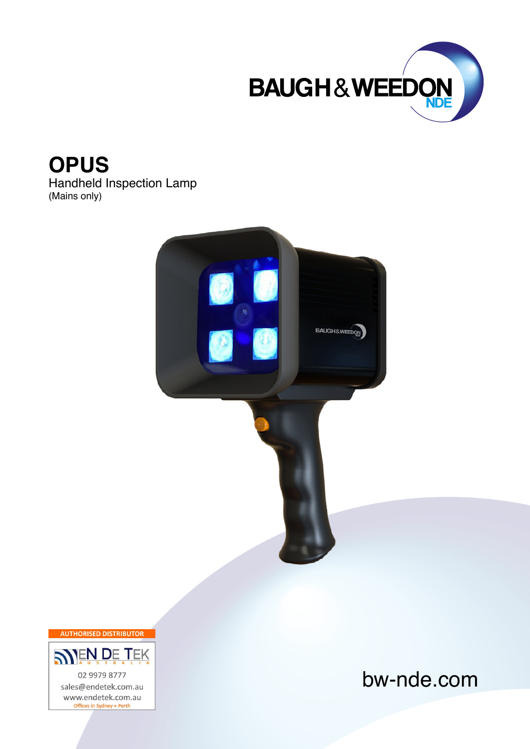

**OPUS**

Handheld Inspection Lamp (Mains only)



**AUTHORISED DISTRIBUTOR** 



bw-nde.com